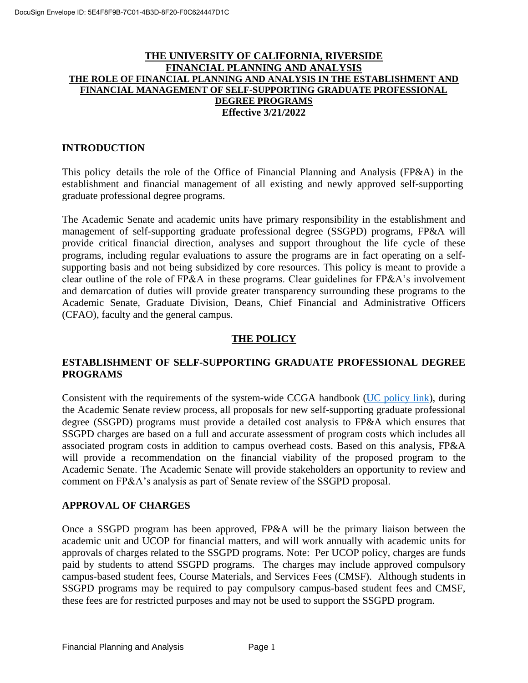### **THE UNIVERSITY OF CALIFORNIA, RIVERSIDE FINANCIAL PLANNING AND ANALYSIS THE ROLE OF FINANCIAL PLANNING AND ANALYSIS IN THE ESTABLISHMENT AND FINANCIAL MANAGEMENT OF SELF-SUPPORTING GRADUATE PROFESSIONAL DEGREE PROGRAMS Effective 3/21/2022**

### **INTRODUCTION**

This policy details the role of the Office of Financial Planning and Analysis (FP&A) in the establishment and financial management of all existing and newly approved self-supporting graduate professional degree programs.

The Academic Senate and academic units have primary responsibility in the establishment and management of self-supporting graduate professional degree (SSGPD) programs, FP&A will provide critical financial direction, analyses and support throughout the life cycle of these programs, including regular evaluations to assure the programs are in fact operating on a selfsupporting basis and not being subsidized by core resources. This policy is meant to provide a clear outline of the role of FP&A in these programs. Clear guidelines for FP&A's involvement and demarcation of duties will provide greater transparency surrounding these programs to the Academic Senate, Graduate Division, Deans, Chief Financial and Administrative Officers (CFAO), faculty and the general campus.

### **THE POLICY**

# **ESTABLISHMENT OF SELF-SUPPORTING GRADUATE PROFESSIONAL DEGREE PROGRAMS**

Consistent with the requirements of the system-wide CCGA handbook [\(UC policy link\)](https://www.ucop.edu/operating-budget/_files/ssgpdp/ssgpdp_policy_7_12_2016.pdf), during the Academic Senate review process, all proposals for new self-supporting graduate professional degree (SSGPD) programs must provide a detailed cost analysis to FP&A which ensures that SSGPD charges are based on a full and accurate assessment of program costs which includes all associated program costs in addition to campus overhead costs. Based on this analysis, FP&A will provide a recommendation on the financial viability of the proposed program to the Academic Senate. The Academic Senate will provide stakeholders an opportunity to review and comment on FP&A's analysis as part of Senate review of the SSGPD proposal.

### **APPROVAL OF CHARGES**

Once a SSGPD program has been approved, FP&A will be the primary liaison between the academic unit and UCOP for financial matters, and will work annually with academic units for approvals of charges related to the SSGPD programs. Note: Per UCOP policy, charges are funds paid by students to attend SSGPD programs. The charges may include approved compulsory campus-based student fees, Course Materials, and Services Fees (CMSF). Although students in SSGPD programs may be required to pay compulsory campus-based student fees and CMSF, these fees are for restricted purposes and may not be used to support the SSGPD program.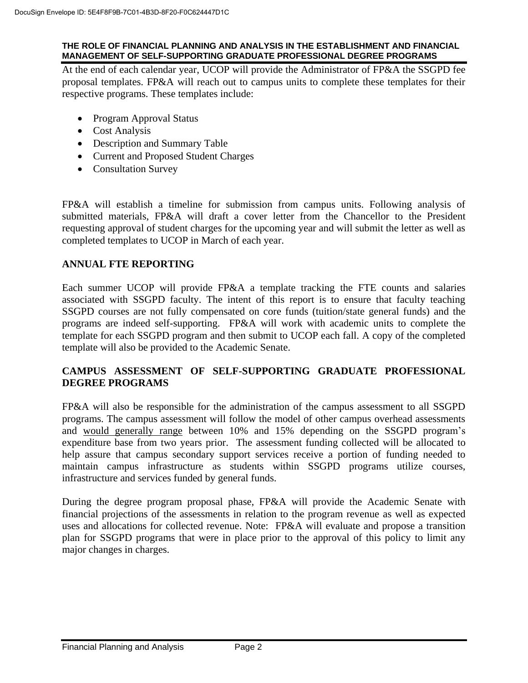#### **THE ROLE OF FINANCIAL PLANNING AND ANALYSIS IN THE ESTABLISHMENT AND FINANCIAL MANAGEMENT OF SELF-SUPPORTING GRADUATE PROFESSIONAL DEGREE PROGRAMS**

At the end of each calendar year, UCOP will provide the Administrator of FP&A the SSGPD fee proposal templates. FP&A will reach out to campus units to complete these templates for their respective programs. These templates include:

- Program Approval Status
- Cost Analysis
- Description and Summary Table
- Current and Proposed Student Charges
- Consultation Survey

FP&A will establish a timeline for submission from campus units. Following analysis of submitted materials, FP&A will draft a cover letter from the Chancellor to the President requesting approval of student charges for the upcoming year and will submit the letter as well as completed templates to UCOP in March of each year.

# **ANNUAL FTE REPORTING**

Each summer UCOP will provide FP&A a template tracking the FTE counts and salaries associated with SSGPD faculty. The intent of this report is to ensure that faculty teaching SSGPD courses are not fully compensated on core funds (tuition/state general funds) and the programs are indeed self-supporting. FP&A will work with academic units to complete the template for each SSGPD program and then submit to UCOP each fall. A copy of the completed template will also be provided to the Academic Senate.

# **CAMPUS ASSESSMENT OF SELF-SUPPORTING GRADUATE PROFESSIONAL DEGREE PROGRAMS**

FP&A will also be responsible for the administration of the campus assessment to all SSGPD programs. The campus assessment will follow the model of other campus overhead assessments and would generally range between 10% and 15% depending on the SSGPD program's expenditure base from two years prior. The assessment funding collected will be allocated to help assure that campus secondary support services receive a portion of funding needed to maintain campus infrastructure as students within SSGPD programs utilize courses, infrastructure and services funded by general funds.

During the degree program proposal phase, FP&A will provide the Academic Senate with financial projections of the assessments in relation to the program revenue as well as expected uses and allocations for collected revenue. Note: FP&A will evaluate and propose a transition plan for SSGPD programs that were in place prior to the approval of this policy to limit any major changes in charges.